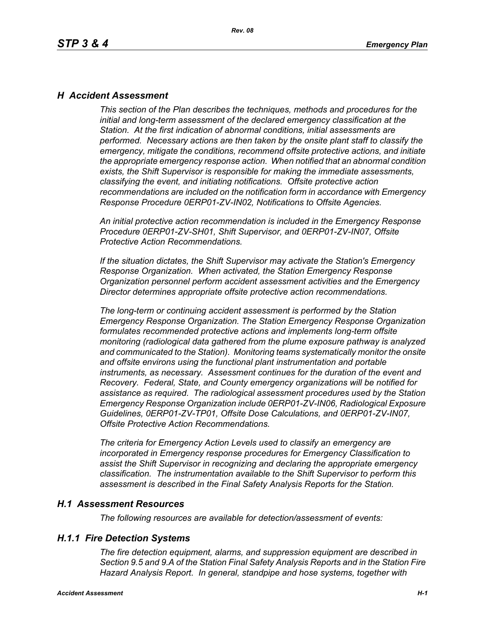### *H Accident Assessment*

*This section of the Plan describes the techniques, methods and procedures for the initial and long-term assessment of the declared emergency classification at the Station. At the first indication of abnormal conditions, initial assessments are performed. Necessary actions are then taken by the onsite plant staff to classify the emergency, mitigate the conditions, recommend offsite protective actions, and initiate the appropriate emergency response action. When notified that an abnormal condition exists, the Shift Supervisor is responsible for making the immediate assessments, classifying the event, and initiating notifications. Offsite protective action recommendations are included on the notification form in accordance with Emergency Response Procedure 0ERP01-ZV-IN02, Notifications to Offsite Agencies.*

*An initial protective action recommendation is included in the Emergency Response Procedure 0ERP01-ZV-SH01, Shift Supervisor, and 0ERP01-ZV-IN07, Offsite Protective Action Recommendations.*

*If the situation dictates, the Shift Supervisor may activate the Station's Emergency Response Organization. When activated, the Station Emergency Response Organization personnel perform accident assessment activities and the Emergency Director determines appropriate offsite protective action recommendations.*

*The long-term or continuing accident assessment is performed by the Station Emergency Response Organization. The Station Emergency Response Organization formulates recommended protective actions and implements long-term offsite monitoring (radiological data gathered from the plume exposure pathway is analyzed and communicated to the Station). Monitoring teams systematically monitor the onsite and offsite environs using the functional plant instrumentation and portable instruments, as necessary. Assessment continues for the duration of the event and Recovery. Federal, State, and County emergency organizations will be notified for assistance as required. The radiological assessment procedures used by the Station Emergency Response Organization include 0ERP01-ZV-IN06, Radiological Exposure Guidelines, 0ERP01-ZV-TP01, Offsite Dose Calculations, and 0ERP01-ZV-IN07, Offsite Protective Action Recommendations.*

*The criteria for Emergency Action Levels used to classify an emergency are incorporated in Emergency response procedures for Emergency Classification to assist the Shift Supervisor in recognizing and declaring the appropriate emergency classification. The instrumentation available to the Shift Supervisor to perform this assessment is described in the Final Safety Analysis Reports for the Station.*

#### *H.1 Assessment Resources*

*The following resources are available for detection/assessment of events:*

### *H.1.1 Fire Detection Systems*

*The fire detection equipment, alarms, and suppression equipment are described in Section 9.5 and 9.A of the Station Final Safety Analysis Reports and in the Station Fire Hazard Analysis Report. In general, standpipe and hose systems, together with*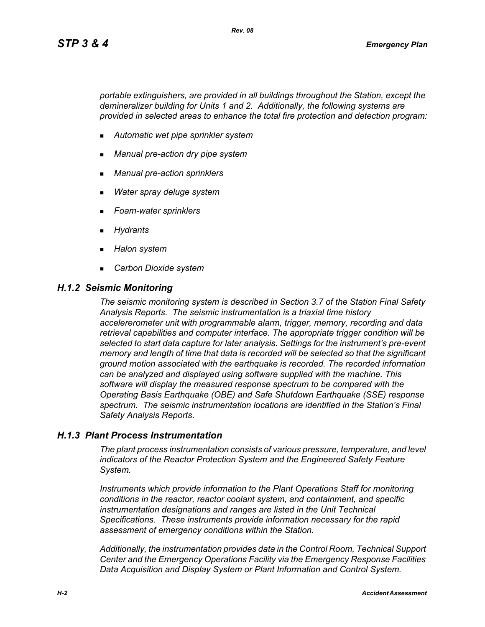*portable extinguishers, are provided in all buildings throughout the Station, except the demineralizer building for Units 1 and 2. Additionally, the following systems are provided in selected areas to enhance the total fire protection and detection program:*

- *Automatic wet pipe sprinkler system*
- *Manual pre-action dry pipe system*
- *Manual pre-action sprinklers*
- *Water spray deluge system*
- *Foam-water sprinklers*
- *Hydrants*
- *Halon system*
- *Carbon Dioxide system*

#### *H.1.2 Seismic Monitoring*

*The seismic monitoring system is described in Section 3.7 of the Station Final Safety Analysis Reports. The seismic instrumentation is a triaxial time history accelererometer unit with programmable alarm, trigger, memory, recording and data retrieval capabilities and computer interface. The appropriate trigger condition will be selected to start data capture for later analysis. Settings for the instrument's pre-event memory and length of time that data is recorded will be selected so that the significant ground motion associated with the earthquake is recorded. The recorded information can be analyzed and displayed using software supplied with the machine. This software will display the measured response spectrum to be compared with the Operating Basis Earthquake (OBE) and Safe Shutdown Earthquake (SSE) response spectrum. The seismic instrumentation locations are identified in the Station's Final Safety Analysis Reports.*

#### *H.1.3 Plant Process Instrumentation*

*The plant process instrumentation consists of various pressure, temperature, and level indicators of the Reactor Protection System and the Engineered Safety Feature System.*

*Instruments which provide information to the Plant Operations Staff for monitoring conditions in the reactor, reactor coolant system, and containment, and specific instrumentation designations and ranges are listed in the Unit Technical Specifications. These instruments provide information necessary for the rapid assessment of emergency conditions within the Station.*

*Additionally, the instrumentation provides data in the Control Room, Technical Support Center and the Emergency Operations Facility via the Emergency Response Facilities Data Acquisition and Display System or Plant Information and Control System.*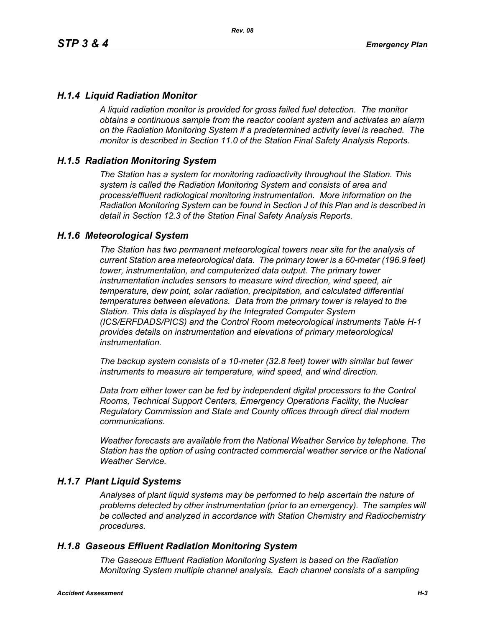## *H.1.4 Liquid Radiation Monitor*

*A liquid radiation monitor is provided for gross failed fuel detection. The monitor obtains a continuous sample from the reactor coolant system and activates an alarm on the Radiation Monitoring System if a predetermined activity level is reached. The monitor is described in Section 11.0 of the Station Final Safety Analysis Reports.*

### *H.1.5 Radiation Monitoring System*

*The Station has a system for monitoring radioactivity throughout the Station. This system is called the Radiation Monitoring System and consists of area and process/effluent radiological monitoring instrumentation. More information on the Radiation Monitoring System can be found in Section J of this Plan and is described in detail in Section 12.3 of the Station Final Safety Analysis Reports.*

#### *H.1.6 Meteorological System*

*The Station has two permanent meteorological towers near site for the analysis of current Station area meteorological data. The primary tower is a 60-meter (196.9 feet) tower, instrumentation, and computerized data output. The primary tower instrumentation includes sensors to measure wind direction, wind speed, air temperature, dew point, solar radiation, precipitation, and calculated differential temperatures between elevations. Data from the primary tower is relayed to the Station. This data is displayed by the Integrated Computer System (ICS/ERFDADS/PICS) and the Control Room meteorological instruments Table H-1 provides details on instrumentation and elevations of primary meteorological instrumentation.*

*The backup system consists of a 10-meter (32.8 feet) tower with similar but fewer instruments to measure air temperature, wind speed, and wind direction.*

*Data from either tower can be fed by independent digital processors to the Control Rooms, Technical Support Centers, Emergency Operations Facility, the Nuclear Regulatory Commission and State and County offices through direct dial modem communications.* 

*Weather forecasts are available from the National Weather Service by telephone. The Station has the option of using contracted commercial weather service or the National Weather Service.*

#### *H.1.7 Plant Liquid Systems*

*Analyses of plant liquid systems may be performed to help ascertain the nature of problems detected by other instrumentation (prior to an emergency). The samples will be collected and analyzed in accordance with Station Chemistry and Radiochemistry procedures.*

#### *H.1.8 Gaseous Effluent Radiation Monitoring System*

*The Gaseous Effluent Radiation Monitoring System is based on the Radiation Monitoring System multiple channel analysis. Each channel consists of a sampling*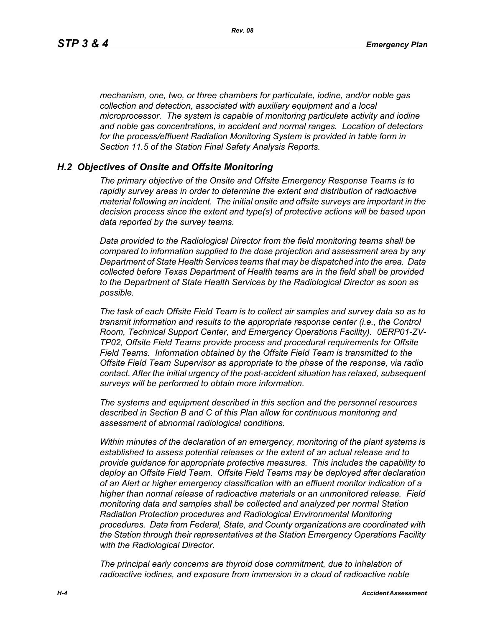*mechanism, one, two, or three chambers for particulate, iodine, and/or noble gas collection and detection, associated with auxiliary equipment and a local microprocessor. The system is capable of monitoring particulate activity and iodine and noble gas concentrations, in accident and normal ranges. Location of detectors for the process/effluent Radiation Monitoring System is provided in table form in Section 11.5 of the Station Final Safety Analysis Reports.* 

#### *H.2 Objectives of Onsite and Offsite Monitoring*

*The primary objective of the Onsite and Offsite Emergency Response Teams is to rapidly survey areas in order to determine the extent and distribution of radioactive material following an incident. The initial onsite and offsite surveys are important in the decision process since the extent and type(s) of protective actions will be based upon data reported by the survey teams.*

*Data provided to the Radiological Director from the field monitoring teams shall be compared to information supplied to the dose projection and assessment area by any Department of State Health Services teams that may be dispatched into the area. Data collected before Texas Department of Health teams are in the field shall be provided to the Department of State Health Services by the Radiological Director as soon as possible.*

*The task of each Offsite Field Team is to collect air samples and survey data so as to transmit information and results to the appropriate response center (i.e., the Control Room, Technical Support Center, and Emergency Operations Facility). 0ERP01-ZV-TP02, Offsite Field Teams provide process and procedural requirements for Offsite Field Teams. Information obtained by the Offsite Field Team is transmitted to the Offsite Field Team Supervisor as appropriate to the phase of the response, via radio contact. After the initial urgency of the post-accident situation has relaxed, subsequent surveys will be performed to obtain more information.*

*The systems and equipment described in this section and the personnel resources described in Section B and C of this Plan allow for continuous monitoring and assessment of abnormal radiological conditions.*

*Within minutes of the declaration of an emergency, monitoring of the plant systems is established to assess potential releases or the extent of an actual release and to provide guidance for appropriate protective measures. This includes the capability to deploy an Offsite Field Team. Offsite Field Teams may be deployed after declaration of an Alert or higher emergency classification with an effluent monitor indication of a higher than normal release of radioactive materials or an unmonitored release. Field monitoring data and samples shall be collected and analyzed per normal Station Radiation Protection procedures and Radiological Environmental Monitoring procedures. Data from Federal, State, and County organizations are coordinated with the Station through their representatives at the Station Emergency Operations Facility with the Radiological Director.*

*The principal early concerns are thyroid dose commitment, due to inhalation of radioactive iodines, and exposure from immersion in a cloud of radioactive noble*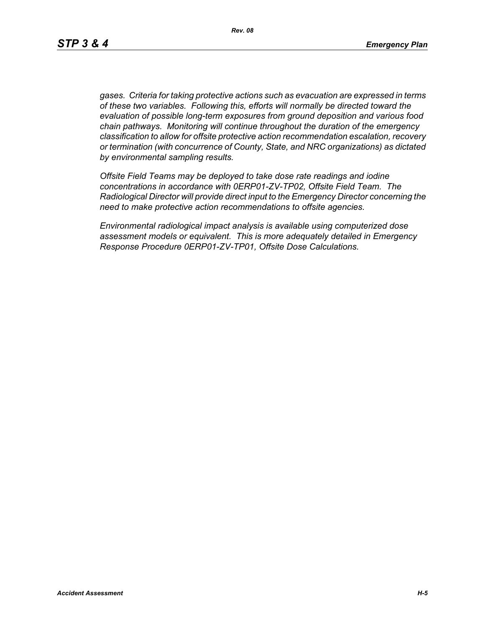*gases. Criteria for taking protective actions such as evacuation are expressed in terms of these two variables. Following this, efforts will normally be directed toward the evaluation of possible long-term exposures from ground deposition and various food chain pathways. Monitoring will continue throughout the duration of the emergency classification to allow for offsite protective action recommendation escalation, recovery or termination (with concurrence of County, State, and NRC organizations) as dictated by environmental sampling results.*

*Offsite Field Teams may be deployed to take dose rate readings and iodine concentrations in accordance with 0ERP01-ZV-TP02, Offsite Field Team. The Radiological Director will provide direct input to the Emergency Director concerning the need to make protective action recommendations to offsite agencies.* 

*Environmental radiological impact analysis is available using computerized dose assessment models or equivalent. This is more adequately detailed in Emergency Response Procedure 0ERP01-ZV-TP01, Offsite Dose Calculations.*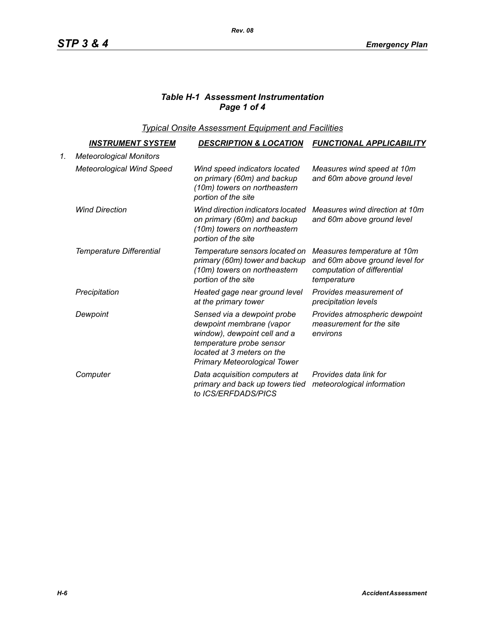# *Table H-1 Assessment Instrumentation Page 1 of 4*

*Typical Onsite Assessment Equipment and Facilities*

|    | <u>INSTRUMENT SYSTEM</u>         | <b>DESCRIPTION &amp; LOCATION</b>                                                                                                                                                        | <b>FUNCTIONAL APPLICABILITY</b>                                                                             |
|----|----------------------------------|------------------------------------------------------------------------------------------------------------------------------------------------------------------------------------------|-------------------------------------------------------------------------------------------------------------|
| 1. | <b>Meteorological Monitors</b>   |                                                                                                                                                                                          |                                                                                                             |
|    | <b>Meteorological Wind Speed</b> | Wind speed indicators located<br>on primary (60m) and backup<br>(10m) towers on northeastern<br>portion of the site                                                                      | Measures wind speed at 10m<br>and 60m above ground level                                                    |
|    | <b>Wind Direction</b>            | Wind direction indicators located<br>on primary (60m) and backup<br>(10m) towers on northeastern<br>portion of the site                                                                  | Measures wind direction at 10m<br>and 60m above ground level                                                |
|    | Temperature Differential         | Temperature sensors located on<br>primary (60m) tower and backup<br>(10m) towers on northeastern<br>portion of the site                                                                  | Measures temperature at 10m<br>and 60m above ground level for<br>computation of differential<br>temperature |
|    | Precipitation                    | Heated gage near ground level<br>at the primary tower                                                                                                                                    | Provides measurement of<br>precipitation levels                                                             |
|    | Dewpoint                         | Sensed via a dewpoint probe<br>dewpoint membrane (vapor<br>window), dewpoint cell and a<br>temperature probe sensor<br>located at 3 meters on the<br><b>Primary Meteorological Tower</b> | Provides atmospheric dewpoint<br>measurement for the site<br>environs                                       |
|    | Computer                         | Data acquisition computers at<br>primary and back up towers tied<br>to ICS/ERFDADS/PICS                                                                                                  | Provides data link for<br>meteorological information                                                        |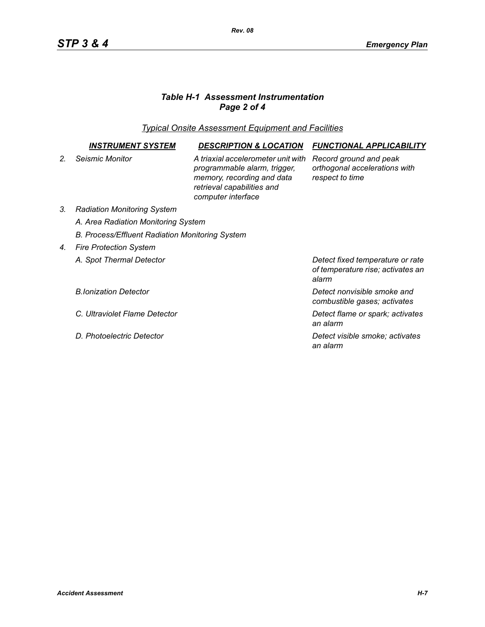# *Table H-1 Assessment Instrumentation Page 2 of 4*

*Typical Onsite Assessment Equipment and Facilities*

|                | <b>INSTRUMENT SYSTEM</b>                        | <b>DESCRIPTION &amp; LOCATION</b>                                                                                                                    | <b>FUNCTIONAL APPLICABILITY</b>                                                |  |  |
|----------------|-------------------------------------------------|------------------------------------------------------------------------------------------------------------------------------------------------------|--------------------------------------------------------------------------------|--|--|
| 2 <sub>1</sub> | Seismic Monitor                                 | A triaxial accelerometer unit with<br>programmable alarm, trigger,<br>memory, recording and data<br>retrieval capabilities and<br>computer interface | Record ground and peak<br>orthogonal accelerations with<br>respect to time     |  |  |
| 3.             | <b>Radiation Monitoring System</b>              |                                                                                                                                                      |                                                                                |  |  |
|                | A. Area Radiation Monitoring System             |                                                                                                                                                      |                                                                                |  |  |
|                | B. Process/Effluent Radiation Monitoring System |                                                                                                                                                      |                                                                                |  |  |
| 4.             | <b>Fire Protection System</b>                   |                                                                                                                                                      |                                                                                |  |  |
|                | A. Spot Thermal Detector                        |                                                                                                                                                      | Detect fixed temperature or rate<br>of temperature rise; activates an<br>alarm |  |  |
|                | <b>B.Ionization Detector</b>                    |                                                                                                                                                      | Detect nonvisible smoke and<br>combustible gases; activates                    |  |  |
|                | C. Ultraviolet Flame Detector                   |                                                                                                                                                      | Detect flame or spark; activates<br>an alarm                                   |  |  |
|                | D. Photoelectric Detector                       |                                                                                                                                                      | Detect visible smoke; activates<br>an alarm                                    |  |  |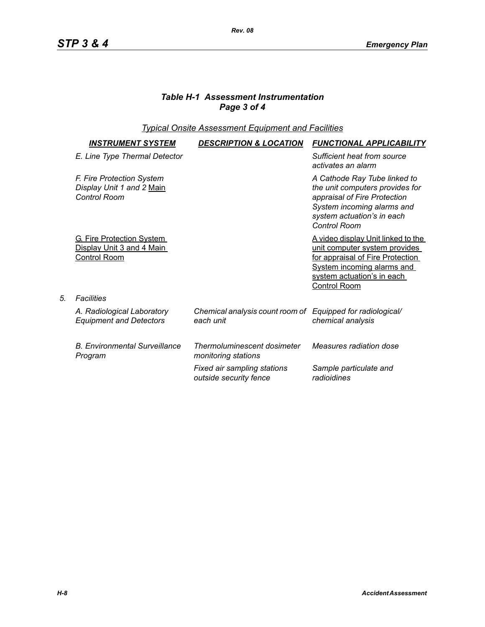# *Table H-1 Assessment Instrumentation Page 3 of 4*

## *Typical Onsite Assessment Equipment and Facilities*

| <i><b>INSTRUMENT SYSTEM</b></i>                                                      | <b>DESCRIPTION &amp; LOCATION</b>                                       | <b>FUNCTIONAL APPLICABILITY</b>                                                                                                                                                                           |
|--------------------------------------------------------------------------------------|-------------------------------------------------------------------------|-----------------------------------------------------------------------------------------------------------------------------------------------------------------------------------------------------------|
| E. Line Type Thermal Detector                                                        |                                                                         | Sufficient heat from source<br>activates an alarm                                                                                                                                                         |
| F. Fire Protection System<br>Display Unit 1 and 2 Main<br>Control Room               |                                                                         | A Cathode Ray Tube linked to<br>the unit computers provides for<br>appraisal of Fire Protection<br>System incoming alarms and<br>system actuation's in each<br>Control Room                               |
| <b>G. Fire Protection System</b><br>Display Unit 3 and 4 Main<br><b>Control Room</b> |                                                                         | <u>A video display Unit linked to the </u><br>unit computer system provides<br>for appraisal of Fire Protection<br><b>System incoming alarms and</b><br>system actuation's in each<br><b>Control Room</b> |
| Facilities                                                                           |                                                                         |                                                                                                                                                                                                           |
| A. Radiological Laboratory<br><b>Equipment and Detectors</b>                         | Chemical analysis count room of Equipped for radiological/<br>each unit | chemical analysis                                                                                                                                                                                         |
| <b>B. Environmental Surveillance</b><br>Program                                      | Thermoluminescent dosimeter<br>monitoring stations                      | Measures radiation dose                                                                                                                                                                                   |
|                                                                                      | Fixed air sampling stations<br>outside security fence                   | Sample particulate and<br>radioidines                                                                                                                                                                     |

*5. Facilities*